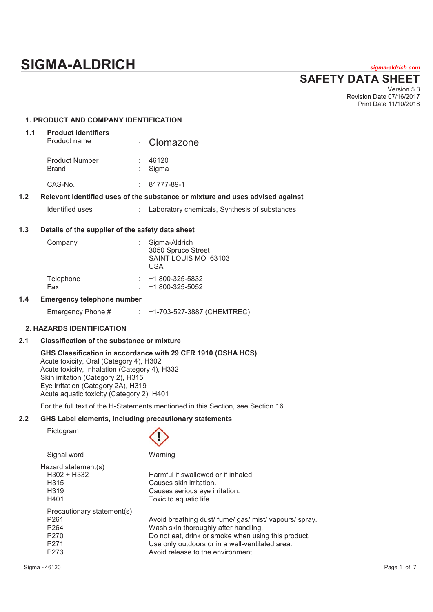# **SIGMA-ALDRICH** *sigma-aldrich.com*

## **SAFETY DATA SHEET**

Version 5.3 Revision Date 07/16/2017 Print Date 11/10/2018

## **1. PRODUCT AND COMPANY IDENTIFICATION 1.1 Product identifiers**  Product name : Clomazone Product Number : 46120<br>Brand : Sigma Sigma CAS-No. : 81777-89-1 **1.2 Relevant identified uses of the substance or mixture and uses advised against**  Identified uses : Laboratory chemicals, Synthesis of substances **1.3 Details of the supplier of the safety data sheet**  Company : Sigma-Aldrich 3050 Spruce Street SAINT LOUIS MO 63103 USA Telephone : +1 800-325-5832 Fax : +1 800-325-5052 **1.4 Emergency telephone number**  Emergency Phone # : +1-703-527-3887 (CHEMTREC)

## **2. HAZARDS IDENTIFICATION**

#### **2.1 Classification of the substance or mixture**

#### **GHS Classification in accordance with 29 CFR 1910 (OSHA HCS)**  Acute toxicity, Oral (Category 4), H302 Acute toxicity, Inhalation (Category 4), H332 Skin irritation (Category 2), H315 Eye irritation (Category 2A), H319 Acute aquatic toxicity (Category 2), H401

For the full text of the H-Statements mentioned in this Section, see Section 16.

### **2.2 GHS Label elements, including precautionary statements**

Pictogram



| Signal word                | Warning                                                |
|----------------------------|--------------------------------------------------------|
| Hazard statement(s)        |                                                        |
| $H302 + H332$              | Harmful if swallowed or if inhaled                     |
| H <sub>315</sub>           | Causes skin irritation.                                |
| H <sub>3</sub> 19          | Causes serious eye irritation.                         |
| H401                       | Toxic to aquatic life.                                 |
| Precautionary statement(s) |                                                        |
| P <sub>261</sub>           | Avoid breathing dust/ fume/ gas/ mist/ vapours/ spray. |
| P <sub>264</sub>           | Wash skin thoroughly after handling.                   |
| P <sub>270</sub>           | Do not eat, drink or smoke when using this product.    |
| P <sub>271</sub>           | Use only outdoors or in a well-ventilated area.        |
| P <sub>273</sub>           | Avoid release to the environment.                      |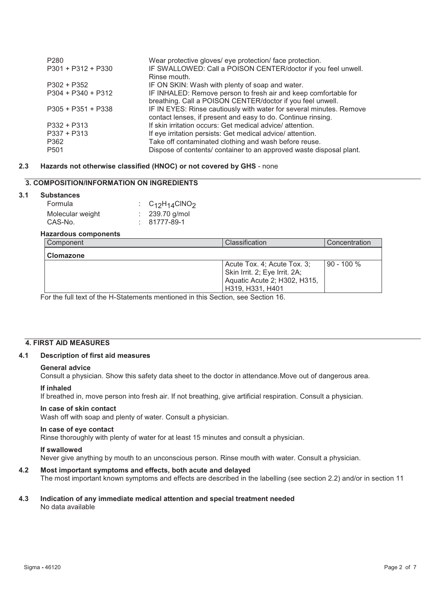| P <sub>280</sub><br>$P301 + P312 + P330$ | Wear protective gloves/ eye protection/ face protection.<br>IF SWALLOWED: Call a POISON CENTER/doctor if you feel unwell.<br>Rinse mouth. |
|------------------------------------------|-------------------------------------------------------------------------------------------------------------------------------------------|
| $P302 + P352$                            | IF ON SKIN: Wash with plenty of soap and water.                                                                                           |
| $P304 + P340 + P312$                     | IF INHALED: Remove person to fresh air and keep comfortable for<br>breathing. Call a POISON CENTER/doctor if you feel unwell.             |
| $P305 + P351 + P338$                     | IF IN EYES: Rinse cautiously with water for several minutes. Remove<br>contact lenses, if present and easy to do. Continue rinsing.       |
| $P332 + P313$                            | If skin irritation occurs: Get medical advice/attention.                                                                                  |
| $P337 + P313$                            | If eye irritation persists: Get medical advice/ attention.                                                                                |
| P362                                     | Take off contaminated clothing and wash before reuse.                                                                                     |
| P <sub>501</sub>                         | Dispose of contents/ container to an approved waste disposal plant.                                                                       |

## **2.3 Hazards not otherwise classified (HNOC) or not covered by GHS** - none

## **3. COMPOSITION/INFORMATION ON INGREDIENTS**

#### **3.1 Substances**

| Formula          | : $C_{12}H_{14}CINO_2$ |
|------------------|------------------------|
| Molecular weight | $: 239.70$ g/mol       |
| CAS-No.          | $: 81777 - 89 - 1$     |

#### **Hazardous components**

| Component        | Classification                                                                                                     | Concentration |
|------------------|--------------------------------------------------------------------------------------------------------------------|---------------|
| <b>Clomazone</b> |                                                                                                                    |               |
|                  | Acute Tox. 4; Acute Tox. 3;<br>Skin Irrit. 2; Eye Irrit. 2A;<br>Aquatic Acute 2; H302, H315,<br>  H319, H331, H401 | $90 - 100 %$  |

For the full text of the H-Statements mentioned in this Section, see Section 16.

#### **4. FIRST AID MEASURES**

## **4.1 Description of first aid measures**

#### **General advice**

Consult a physician. Show this safety data sheet to the doctor in attendance.Move out of dangerous area.

#### **If inhaled**

If breathed in, move person into fresh air. If not breathing, give artificial respiration. Consult a physician.

#### **In case of skin contact**

Wash off with soap and plenty of water. Consult a physician.

#### **In case of eye contact**

Rinse thoroughly with plenty of water for at least 15 minutes and consult a physician.

#### **If swallowed**

Never give anything by mouth to an unconscious person. Rinse mouth with water. Consult a physician.

#### **4.2 Most important symptoms and effects, both acute and delayed**

The most important known symptoms and effects are described in the labelling (see section 2.2) and/or in section 11

## **4.3 Indication of any immediate medical attention and special treatment needed**

No data available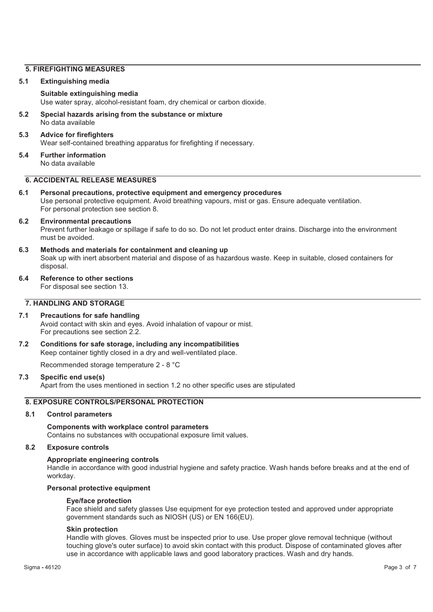## **5. FIREFIGHTING MEASURES**

#### **5.1 Extinguishing media**

#### **Suitable extinguishing media**

Use water spray, alcohol-resistant foam, dry chemical or carbon dioxide.

**5.2 Special hazards arising from the substance or mixture**  No data available

#### **5.3 Advice for firefighters**

Wear self-contained breathing apparatus for firefighting if necessary.

**5.4 Further information**  No data available

## **6. ACCIDENTAL RELEASE MEASURES**

## **6.1 Personal precautions, protective equipment and emergency procedures**

Use personal protective equipment. Avoid breathing vapours, mist or gas. Ensure adequate ventilation. For personal protection see section 8.

#### **6.2 Environmental precautions**

Prevent further leakage or spillage if safe to do so. Do not let product enter drains. Discharge into the environment must be avoided.

#### **6.3 Methods and materials for containment and cleaning up**

Soak up with inert absorbent material and dispose of as hazardous waste. Keep in suitable, closed containers for disposal.

#### **6.4 Reference to other sections**

For disposal see section 13.

## **7. HANDLING AND STORAGE**

#### **7.1 Precautions for safe handling**  Avoid contact with skin and eyes. Avoid inhalation of vapour or mist. For precautions see section 2.2.

**7.2 Conditions for safe storage, including any incompatibilities**  Keep container tightly closed in a dry and well-ventilated place.

Recommended storage temperature 2 - 8 °C

#### **7.3 Specific end use(s)**

Apart from the uses mentioned in section 1.2 no other specific uses are stipulated

## **8. EXPOSURE CONTROLS/PERSONAL PROTECTION**

#### **8.1 Control parameters**

**Components with workplace control parameters**  Contains no substances with occupational exposure limit values.

#### **8.2 Exposure controls**

#### **Appropriate engineering controls**

Handle in accordance with good industrial hygiene and safety practice. Wash hands before breaks and at the end of workday.

#### **Personal protective equipment**

#### **Eye/face protection**

Face shield and safety glasses Use equipment for eye protection tested and approved under appropriate government standards such as NIOSH (US) or EN 166(EU).

#### **Skin protection**

Handle with gloves. Gloves must be inspected prior to use. Use proper glove removal technique (without touching glove's outer surface) to avoid skin contact with this product. Dispose of contaminated gloves after use in accordance with applicable laws and good laboratory practices. Wash and dry hands.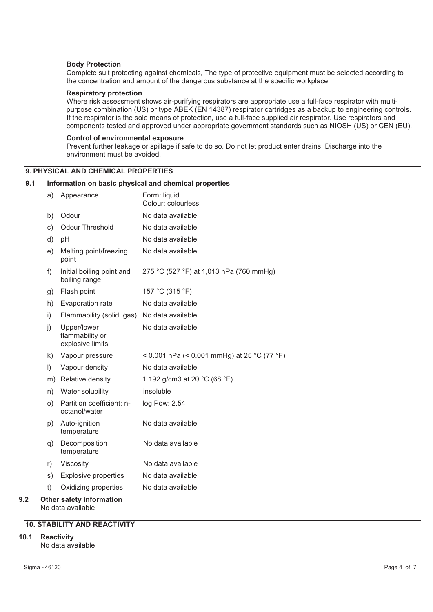#### **Body Protection**

Complete suit protecting against chemicals, The type of protective equipment must be selected according to the concentration and amount of the dangerous substance at the specific workplace.

#### **Respiratory protection**

Where risk assessment shows air-purifying respirators are appropriate use a full-face respirator with multipurpose combination (US) or type ABEK (EN 14387) respirator cartridges as a backup to engineering controls. If the respirator is the sole means of protection, use a full-face supplied air respirator. Use respirators and components tested and approved under appropriate government standards such as NIOSH (US) or CEN (EU).

#### **Control of environmental exposure**

Prevent further leakage or spillage if safe to do so. Do not let product enter drains. Discharge into the environment must be avoided.

## **9. PHYSICAL AND CHEMICAL PROPERTIES**

#### **9.1 Information on basic physical and chemical properties**

|     | a)      | Appearance                                           | Form: liquid<br>Colour: colourless          |
|-----|---------|------------------------------------------------------|---------------------------------------------|
|     | b)      | Odour                                                | No data available                           |
|     | C)      | Odour Threshold                                      | No data available                           |
|     | d)      | pH                                                   | No data available                           |
|     | e)      | Melting point/freezing<br>point                      | No data available                           |
|     | f)      | Initial boiling point and<br>boiling range           | 275 °C (527 °F) at 1,013 hPa (760 mmHg)     |
|     | g)      | Flash point                                          | 157 °C (315 °F)                             |
|     | h)      | Evaporation rate                                     | No data available                           |
|     | i)      | Flammability (solid, gas)                            | No data available                           |
|     | j)      | Upper/lower<br>flammability or<br>explosive limits   | No data available                           |
|     | k)      | Vapour pressure                                      | < 0.001 hPa (< 0.001 mmHg) at 25 °C (77 °F) |
|     | $\vert$ | Vapour density                                       | No data available                           |
|     |         | m) Relative density                                  | 1.192 g/cm3 at 20 °C (68 °F)                |
|     | n)      | Water solubility                                     | insoluble                                   |
|     | O)      | Partition coefficient: n-<br>octanol/water           | log Pow: 2.54                               |
|     | p)      | Auto-ignition<br>temperature                         | No data available                           |
|     | q)      | Decomposition<br>temperature                         | No data available                           |
|     | r)      | Viscosity                                            | No data available                           |
|     | s)      | <b>Explosive properties</b>                          | No data available                           |
|     | t)      | Oxidizing properties                                 | No data available                           |
| 9.2 |         | <b>Other safety information</b><br>No data available |                                             |

#### **10. STABILITY AND REACTIVITY**

#### **10.1 Reactivity**

No data available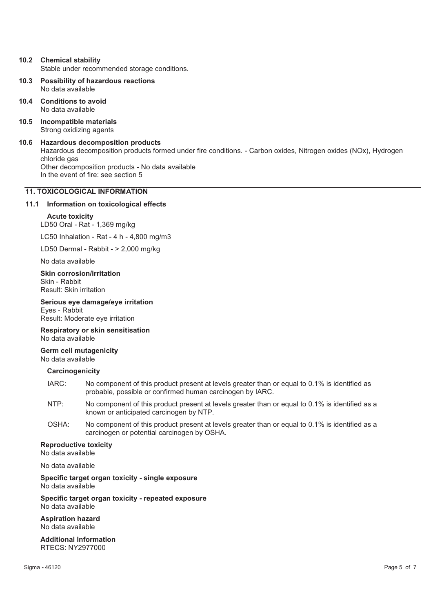## **10.2 Chemical stability**

Stable under recommended storage conditions.

- **10.3 Possibility of hazardous reactions**  No data available
- **10.4 Conditions to avoid**  No data available
- **10.5 Incompatible materials**  Strong oxidizing agents
- **10.6 Hazardous decomposition products**  Hazardous decomposition products formed under fire conditions. - Carbon oxides, Nitrogen oxides (NOx), Hydrogen chloride gas Other decomposition products - No data available In the event of fire: see section 5

## **11. TOXICOLOGICAL INFORMATION**

#### **11.1 Information on toxicological effects**

#### **Acute toxicity**

LD50 Oral - Rat - 1,369 mg/kg

LC50 Inhalation - Rat - 4 h - 4,800 mg/m3

LD50 Dermal - Rabbit - > 2,000 mg/kg

No data available

**Skin corrosion/irritation**  Skin - Rabbit Result: Skin irritation

**Serious eye damage/eye irritation** 

Eyes - Rabbit Result: Moderate eye irritation

**Respiratory or skin sensitisation**  No data available

**Germ cell mutagenicity**  No data available

#### **Carcinogenicity**

- IARC: No component of this product present at levels greater than or equal to 0.1% is identified as probable, possible or confirmed human carcinogen by IARC.
- NTP: No component of this product present at levels greater than or equal to 0.1% is identified as a known or anticipated carcinogen by NTP.
- OSHA: No component of this product present at levels greater than or equal to 0.1% is identified as a carcinogen or potential carcinogen by OSHA.

#### **Reproductive toxicity**

No data available

No data available

**Specific target organ toxicity - single exposure**  No data available

**Specific target organ toxicity - repeated exposure**  No data available

**Aspiration hazard**  No data available

**Additional Information**  RTECS: NY2977000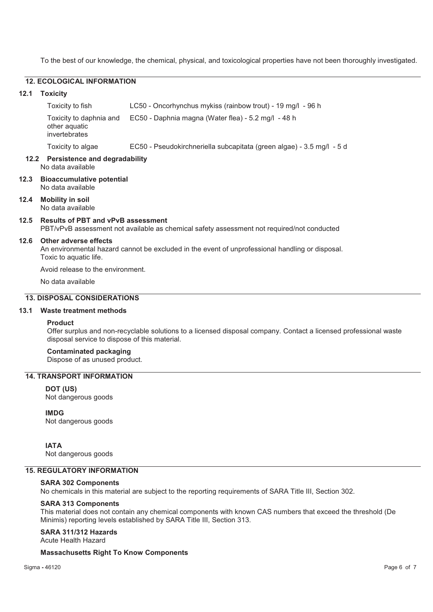To the best of our knowledge, the chemical, physical, and toxicological properties have not been thoroughly investigated.

#### **12. ECOLOGICAL INFORMATION**

#### **12.1 Toxicity**

Toxicity to fish LC50 - Oncorhynchus mykiss (rainbow trout) - 19 mg/l - 96 h Toxicity to daphnia and other aquatic invertebrates EC50 - Daphnia magna (Water flea) - 5.2 mg/l - 48 h Toxicity to algae EC50 - Pseudokirchneriella subcapitata (green algae) - 3.5 mg/l - 5 d

#### **12.2 Persistence and degradability**  No data available

- **12.3 Bioaccumulative potential**  No data available
- **12.4 Mobility in soil**  No data available

## **12.5 Results of PBT and vPvB assessment**

PBT/vPvB assessment not available as chemical safety assessment not required/not conducted

#### **12.6 Other adverse effects**

An environmental hazard cannot be excluded in the event of unprofessional handling or disposal. Toxic to aquatic life.

Avoid release to the environment.

No data available

## **13. DISPOSAL CONSIDERATIONS**

### **13.1 Waste treatment methods**

#### **Product**

Offer surplus and non-recyclable solutions to a licensed disposal company. Contact a licensed professional waste disposal service to dispose of this material.

#### **Contaminated packaging**

Dispose of as unused product.

## **14. TRANSPORT INFORMATION**

#### **DOT (US)**

Not dangerous goods

## **IMDG**

Not dangerous goods

**IATA**

Not dangerous goods

## **15. REGULATORY INFORMATION**

**SARA 302 Components** 

No chemicals in this material are subject to the reporting requirements of SARA Title III, Section 302.

#### **SARA 313 Components**

This material does not contain any chemical components with known CAS numbers that exceed the threshold (De Minimis) reporting levels established by SARA Title III, Section 313.

#### **SARA 311/312 Hazards**

Acute Health Hazard

#### **Massachusetts Right To Know Components**